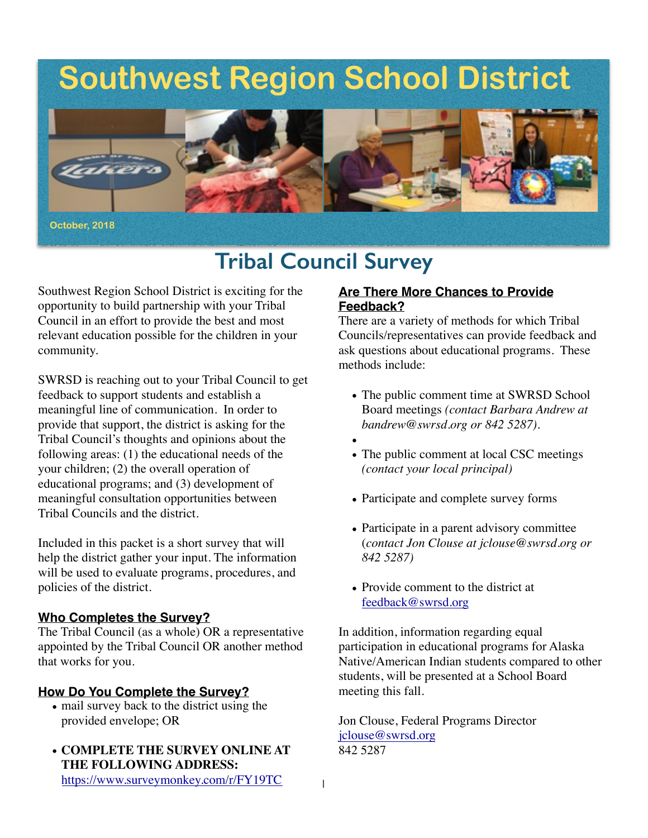# **Southwest Region School District**



## **Tribal Council Survey**

Southwest Region School District is exciting for the opportunity to build partnership with your Tribal Council in an effort to provide the best and most relevant education possible for the children in your community.

SWRSD is reaching out to your Tribal Council to get feedback to support students and establish a meaningful line of communication. In order to provide that support, the district is asking for the Tribal Council's thoughts and opinions about the following areas: (1) the educational needs of the your children; (2) the overall operation of educational programs; and (3) development of meaningful consultation opportunities between Tribal Councils and the district.

Included in this packet is a short survey that will help the district gather your input. The information will be used to evaluate programs, procedures, and policies of the district.

#### **Who Completes the Survey?**

The Tribal Council (as a whole) OR a representative appointed by the Tribal Council OR another method that works for you.

#### **How Do You Complete the Survey?**

- mail survey back to the district using the provided envelope; OR
- **COMPLETE THE SURVEY ONLINE AT THE FOLLOWING ADDRESS:** <https://www.surveymonkey.com/r/FY19TC>

#### **Are There More Chances to Provide Feedback?**

There are a variety of methods for which Tribal Councils/representatives can provide feedback and ask questions about educational programs. These methods include:

- The public comment time at SWRSD School Board meetings *(contact Barbara Andrew at bandrew@swrsd.org or 842 5287).*
- •
- The public comment at local CSC meetings *(contact your local principal)*
- Participate and complete survey forms
- Participate in a parent advisory committee (*contact Jon Clouse at jclouse@swrsd.org or 842 5287)*
- Provide comment to the district at [feedback@swrsd.org](mailto:feedback@swrsd.org)

In addition, information regarding equal participation in educational programs for Alaska Native/American Indian students compared to other students, will be presented at a School Board meeting this fall.

Jon Clouse, Federal Programs Director [jclouse@swrsd.org](mailto:jclouse@swrsd.org) 842 5287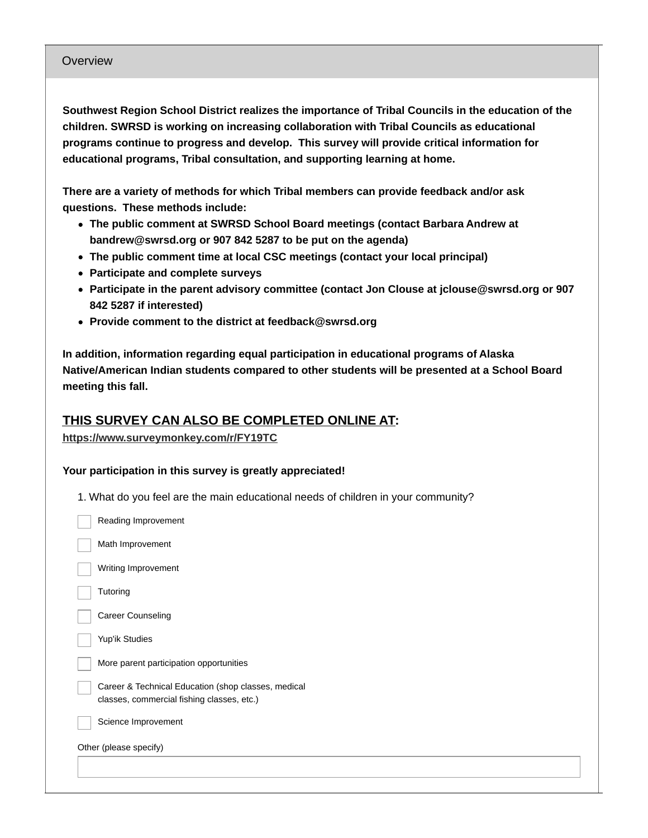#### Overview

**Southwest Region School District realizes the importance of Tribal Councils in the education of the children. SWRSD is working on increasing collaboration with Tribal Councils as educational programs continue to progress and develop. This survey will provide critical information for educational programs, Tribal consultation, and supporting learning at home.**

**There are a variety of methods for which Tribal members can provide feedback and/or ask questions. These methods include:**

- **The public comment at SWRSD School Board meetings (contact Barbara Andrew at bandrew@swrsd.org or 907 842 5287 to be put on the agenda)**
- **The public comment time at local CSC meetings (contact your local principal)**
- **Participate and complete surveys**
- **Participate in the parent advisory committee (contact Jon Clouse at jclouse@swrsd.org or 907 842 5287 if interested)**
- **Provide comment to the district at feedback@swrsd.org**

**In addition, information regarding equal participation in educational programs of Alaska Native/American Indian students compared to other students will be presented at a School Board meeting this fall.**

### **THIS SURVEY CAN ALSO BE COMPLETED ONLINE AT:**

#### **<https://www.surveymonkey.com/r/FY19TC>**

#### **Your participation in this survey is greatly appreciated!**

1. What do you feel are the main educational needs of children in your community?

|                        | Reading Improvement                                                                               |  |  |
|------------------------|---------------------------------------------------------------------------------------------------|--|--|
|                        | Math Improvement                                                                                  |  |  |
|                        | Writing Improvement                                                                               |  |  |
|                        | Tutoring                                                                                          |  |  |
|                        | Career Counseling                                                                                 |  |  |
|                        | Yup'ik Studies                                                                                    |  |  |
|                        | More parent participation opportunities                                                           |  |  |
|                        | Career & Technical Education (shop classes, medical<br>classes, commercial fishing classes, etc.) |  |  |
|                        | Science Improvement                                                                               |  |  |
| Other (please specify) |                                                                                                   |  |  |
|                        |                                                                                                   |  |  |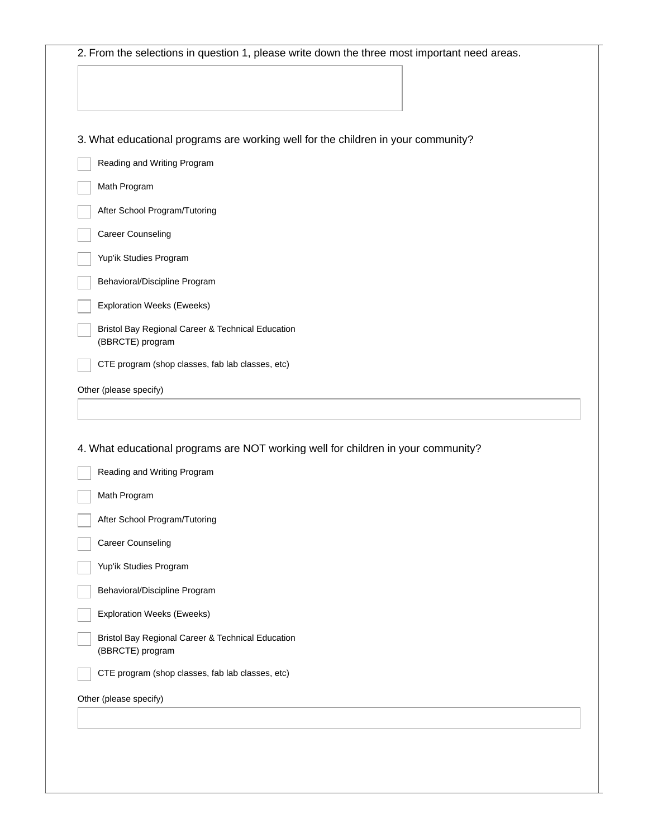| 3. What educational programs are working well for the children in your community?                                |
|------------------------------------------------------------------------------------------------------------------|
| Reading and Writing Program                                                                                      |
| Math Program                                                                                                     |
| After School Program/Tutoring                                                                                    |
| Career Counseling                                                                                                |
| Yup'ik Studies Program                                                                                           |
| Behavioral/Discipline Program                                                                                    |
| <b>Exploration Weeks (Eweeks)</b>                                                                                |
| Bristol Bay Regional Career & Technical Education<br>(BBRCTE) program                                            |
| CTE program (shop classes, fab lab classes, etc)                                                                 |
| Other (please specify)                                                                                           |
| 4. What educational programs are NOT working well for children in your community?<br>Reading and Writing Program |
| Math Program                                                                                                     |
| After School Program/Tutoring                                                                                    |
| Career Counseling                                                                                                |
| Yup'ik Studies Program                                                                                           |
| Behavioral/Discipline Program                                                                                    |
| <b>Exploration Weeks (Eweeks)</b>                                                                                |
| Bristol Bay Regional Career & Technical Education<br>(BBRCTE) program                                            |
| CTE program (shop classes, fab lab classes, etc)                                                                 |
| Other (please specify)                                                                                           |
|                                                                                                                  |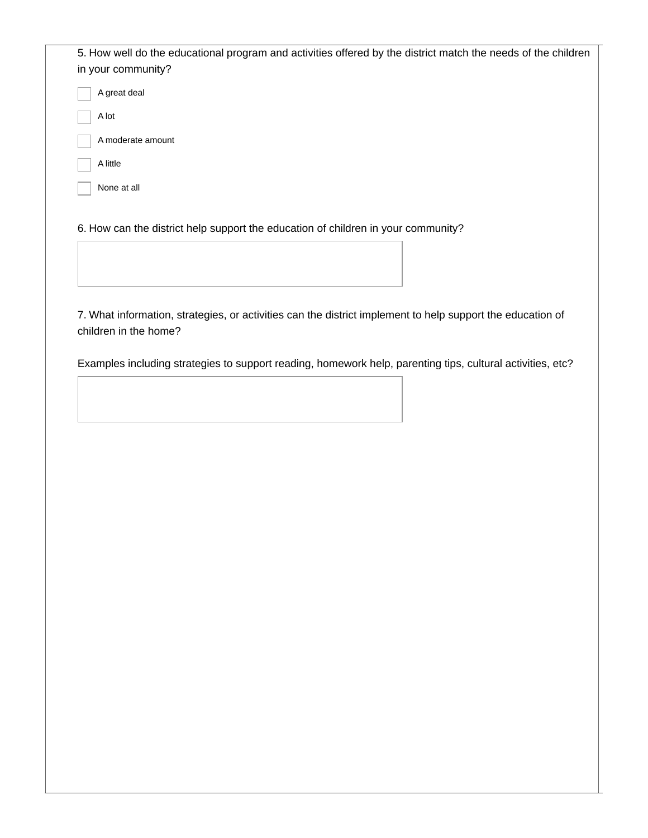| 5. How well do the educational program and activities offered by the district match the needs of the children |  |  |  |  |
|---------------------------------------------------------------------------------------------------------------|--|--|--|--|
| in your community?                                                                                            |  |  |  |  |
| A great deal                                                                                                  |  |  |  |  |
| A lot                                                                                                         |  |  |  |  |
| A moderate amount                                                                                             |  |  |  |  |
| A little                                                                                                      |  |  |  |  |
| None at all                                                                                                   |  |  |  |  |
|                                                                                                               |  |  |  |  |

6. How can the district help support the education of children in your community?

7. What information, strategies, or activities can the district implement to help support the education of children in the home?

Examples including strategies to support reading, homework help, parenting tips, cultural activities, etc?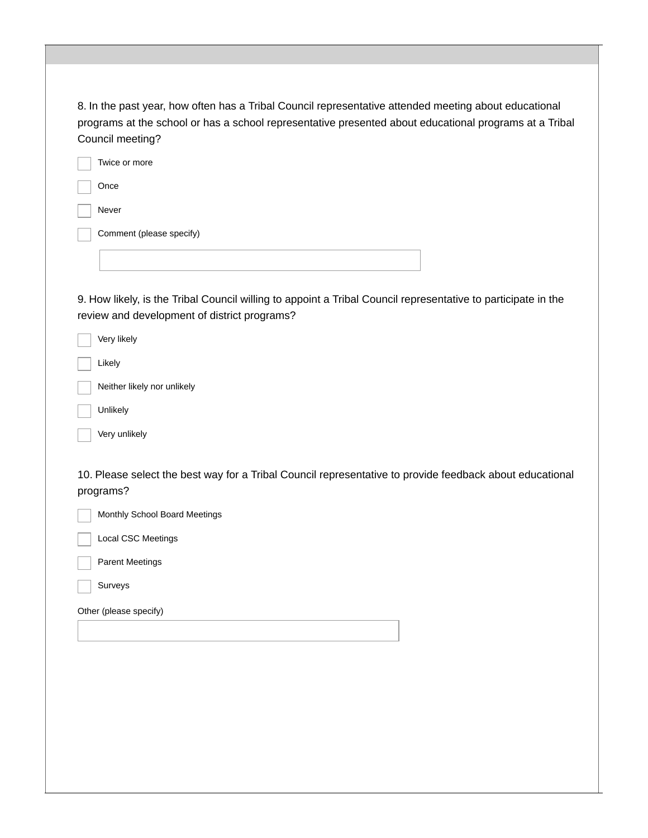| 8. In the past year, how often has a Tribal Council representative attended meeting about educational<br>programs at the school or has a school representative presented about educational programs at a Tribal<br>Council meeting? |  |
|-------------------------------------------------------------------------------------------------------------------------------------------------------------------------------------------------------------------------------------|--|
| Twice or more                                                                                                                                                                                                                       |  |
| Once                                                                                                                                                                                                                                |  |
| Never                                                                                                                                                                                                                               |  |
| Comment (please specify)                                                                                                                                                                                                            |  |
|                                                                                                                                                                                                                                     |  |
|                                                                                                                                                                                                                                     |  |
| 9. How likely, is the Tribal Council willing to appoint a Tribal Council representative to participate in the<br>review and development of district programs?                                                                       |  |
| Very likely                                                                                                                                                                                                                         |  |
| Likely                                                                                                                                                                                                                              |  |
| Neither likely nor unlikely                                                                                                                                                                                                         |  |
| Unlikely                                                                                                                                                                                                                            |  |
| Very unlikely                                                                                                                                                                                                                       |  |
| 10. Please select the best way for a Tribal Council representative to provide feedback about educational<br>programs?                                                                                                               |  |
| Monthly School Board Meetings                                                                                                                                                                                                       |  |
| <b>Local CSC Meetings</b>                                                                                                                                                                                                           |  |
| <b>Parent Meetings</b>                                                                                                                                                                                                              |  |
| Surveys                                                                                                                                                                                                                             |  |
| Other (please specify)                                                                                                                                                                                                              |  |
|                                                                                                                                                                                                                                     |  |
|                                                                                                                                                                                                                                     |  |
|                                                                                                                                                                                                                                     |  |
|                                                                                                                                                                                                                                     |  |
|                                                                                                                                                                                                                                     |  |
|                                                                                                                                                                                                                                     |  |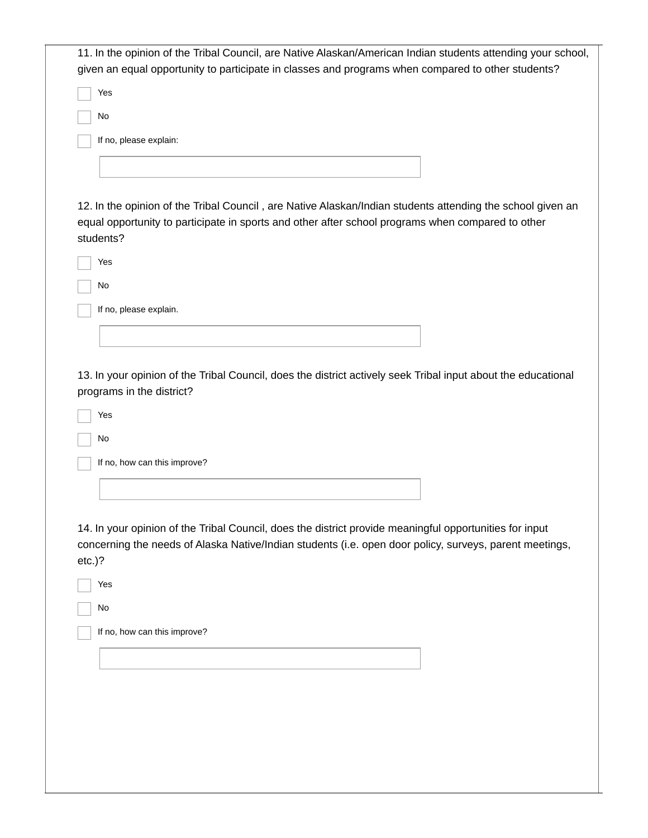| 11. In the opinion of the Tribal Council, are Native Alaskan/American Indian students attending your school, |
|--------------------------------------------------------------------------------------------------------------|
| given an equal opportunity to participate in classes and programs when compared to other students?           |
|                                                                                                              |
| Yes                                                                                                          |
|                                                                                                              |
| No                                                                                                           |
|                                                                                                              |
| If no, please explain:                                                                                       |
|                                                                                                              |
|                                                                                                              |
|                                                                                                              |
|                                                                                                              |
| 12. In the opinion of the Tribal Council, are Native Alaskan/Indian students attending the school given an   |
|                                                                                                              |
| equal opportunity to participate in sports and other after school programs when compared to other            |
| students?                                                                                                    |
|                                                                                                              |
| Yes                                                                                                          |
|                                                                                                              |
| No                                                                                                           |
|                                                                                                              |
| If no, please explain.                                                                                       |
|                                                                                                              |
|                                                                                                              |
|                                                                                                              |
| Yes                                                                                                          |
| No                                                                                                           |
| If no, how can this improve?                                                                                 |
|                                                                                                              |
|                                                                                                              |
|                                                                                                              |
|                                                                                                              |
|                                                                                                              |
| 14. In your opinion of the Tribal Council, does the district provide meaningful opportunities for input      |
| concerning the needs of Alaska Native/Indian students (i.e. open door policy, surveys, parent meetings,      |
| $etc.$ )?                                                                                                    |
|                                                                                                              |
| Yes                                                                                                          |
|                                                                                                              |
| No                                                                                                           |
|                                                                                                              |
| If no, how can this improve?                                                                                 |
|                                                                                                              |
|                                                                                                              |
|                                                                                                              |
|                                                                                                              |
|                                                                                                              |
|                                                                                                              |
|                                                                                                              |
|                                                                                                              |
|                                                                                                              |
|                                                                                                              |
|                                                                                                              |